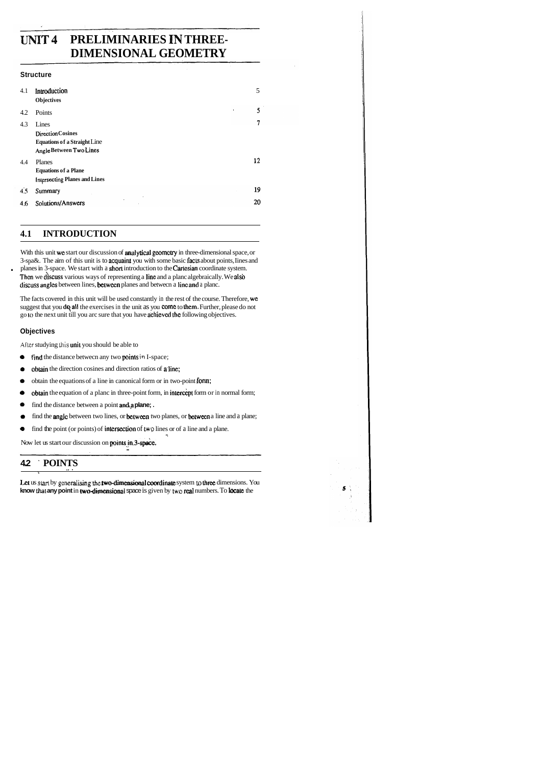## UNIT 4 **PRELIMINARIES IN THREE-DIMENSIONAL GEOMETRY**

#### **Structure**

| 4.1 | Introduction<br><b>Objectives</b>                                                                   | 5              |
|-----|-----------------------------------------------------------------------------------------------------|----------------|
| 4.2 | Points                                                                                              | 5<br>$\bullet$ |
| 4.3 | Lines<br><b>Direction Cosines</b><br><b>Equations of a Straight Line</b><br>Angle Between Two Lines | 7              |
| 4.4 | Planes<br><b>Equations of a Plane</b><br><b>Intersecting Planes and Lines</b>                       | 12             |
| 4.5 | Summary                                                                                             | 19             |
| 4,6 | Solutions/Answers                                                                                   | 20             |

## **4.1 INTRODUCTION**

With this unit we start our discussion of analytical geometry in three-dimensional space, or 3-spa&. The aim of this unit is to acquairu you with some basic facis about points, Iines and . planes in 3-space. We start with a shorl introduction to the Carlesian coordinate system. Then we discuss various ways of representing a line and a planc algebraically. We also discuss angles between lines, between planes and between a line and a planc.

The facts covered in this unit will be used constantly in the rest of the course. Therefore, we suggest that you dq all the exercises in the unit as you come to them. Further, please do not go to the next unit till you arc sure that you have **achieved the** following objectives.

- **e** find the distance betwecn any two points **in** I-space;
- **a obtain** the direction cosines and direction ratios of a line;
- **e** obtain the equations of a line in canonical form or in two-point fonn;
- **e obtain** the equation of a planc in three-point form, in intercept form or in normal form;
- **e** find the distance between a point an&a **plane;** .
- **e** find the **angle** between two lines, or **between** two planes, or **between** a line and a plane;
- **1.** find the point (or points) of intersection of two lines or of a line and a plane.

Now let us start our discussion on **points in.3-space.** ....

#### **Objectives**

**Alier** studying his unil you should be able to

## **4.2** ' **POINTS** .+ . \

Let us start by generalising the **two-dimensional coordinate** system to three dimensions. You know that any point in two-dimensional space is given by two real numbers. To locate the

 $5<sup>2</sup>$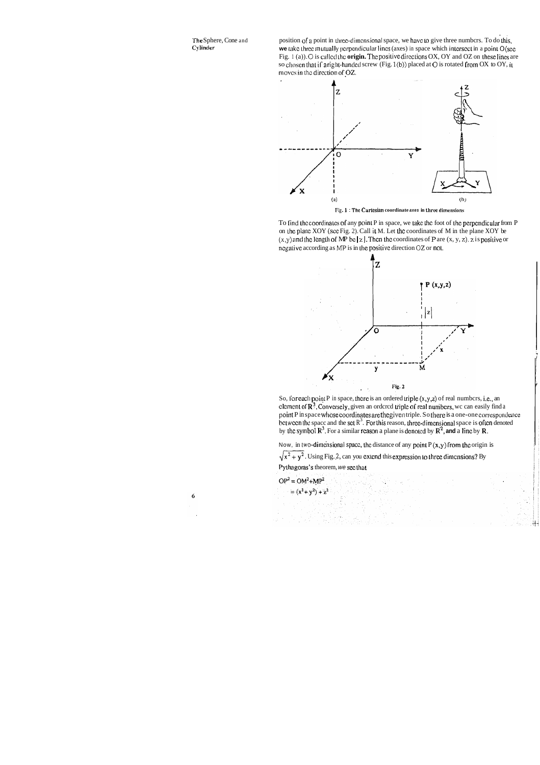The Sphere, Cone and Cylinder

position of a point in three-dimensional space, we have to give three numbers. To do this, we take three mutually perpendicular lines (axes) in space which intersect in a point O (see Fig. 1 (a)). O is called the origin. The positive directions OX, OY and OZ on these lines are so chosen that if a right-handed screw (Fig. 1(b)) placed at O is rotated from OX to OY, it moves in the direction of OZ.



Fig. 1: The Cartesian coordinate axes in three dimensions

To find the coordinates of any point P in space, we take the foot of the perpendicular from P on the plane XOY (see Fig. 2). Call it M. Let the coordinates of M in the plane XOY be  $(x,y)$  and the length of MP be | z |. Then the coordinates of P are  $(x, y, z)$ , z is positive or negative according as MP is in the positive direction OZ or not.



So, for each point P in space, there is an ordered triple  $(x, y, z)$  of real numbers, i.e., an element of  $\mathbb{R}^3$ . Conversely, given an ordered triple of real numbers, we can easily find a point P in space whose coordinates are the given triple. So there is a one-one correspondence between the space and the set  $R^3$ . For this reason, three-dimensional space is often denoted by the symbol  $\mathbb{R}^3$ . For a similar reason a plane is denoted by  $\mathbb{R}^2$ , and a line by R.

Now, in two-dimensional space, the distance of any point  $P(x,y)$  from the origin is

 $\sqrt{x^2 + y^2}$ . Using Fig. 2, can you extend this expression to three dimensions? By

Pythagoras's theorem, we see that

 $OP<sup>2</sup> = OM<sup>2</sup>+MP<sup>2</sup>$  $= (x^2 + y^2) + z^2$ 

 $\boldsymbol{6}$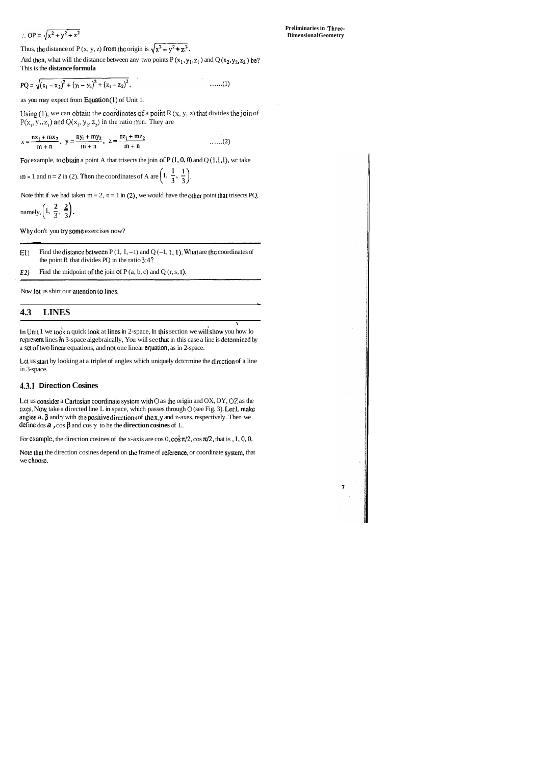$$
\therefore OP = \sqrt{x^2 + y^2 + z^2}
$$

Thus, the distance of P (x, y, z) from the origin is  $\sqrt{x^2 + y^2 + z^2}$ .

 $\pmb{7}$ 

And then, what will the distance between any two points  $P(x_1, y_1, z_1)$  and  $Q(x_2, y_2, z_2)$  be? This is the **distance formula** 

$$
PQ = \sqrt{(x_1 - x_2)^2 + (y_1 - y_2)^2 + (z_1 - z_2)^2}, \qquad \qquad \ldots \ldots (1)
$$

as you may expect from Equation  $(1)$  of Unit 1.

Using (1), we can obtain the coordinates of a point R  $(x, y, z)$  that divides the join of  $P(x_1, y_1, z_1)$  and  $Q(x_2, y_2, z_2)$  in the ratio m:n. They are

$$
x = \frac{nx_1 + mx_2}{m + n}, \quad y = \frac{ny_1 + my_2}{m + n}, \quad z = \frac{nz_1 + mz_2}{m + n}
$$
 ....(2)

For example, to obtain a point A that trisects the join of  $P(1,0,0)$  and  $Q(1,1,1)$ , we take

**m** = 1 and n = 2 in (2). Then the coordinates of A are  $\left(1, \frac{1}{3}, \frac{1}{3}\right)$ .

Note thht if we had taken  $m = 2$ ,  $n = 1$  in (2), we would have the other point that trisects PQ,

E1) Find the distance between  $P(1, I, -1)$  and  $Q(-1, 1, 1)$ . What are the coordinates of the point R that divides PQ in the ratio **3:4?** 

*E2*) Find the midpoint of the join of  $P(a, b, c)$  and  $Q(r, s, t)$ .

Lct us start by looking at a triplet of angles which uniquely dctcrmine the direction of a line in 3-space.

namely, 
$$
\left(1, \frac{2}{3}, \frac{2}{3}\right)
$$
.

Why don't you try some exercises now?

Now let us shirt our altention LO lines.

-

#### **4.3 LINES**

In Unit 1 we took a quick look at lines in 2-space, In this section we will show you how lo represent lines in 3-space algebraically, You will see that in this case a line is determined by a set of two linear equations, and not one linear equation, as in 2-space.

**5** 

#### **1.3.1 Direction Cosines**

Let us consider a Cartesian coordinate system with O as the origin and OX, OY, OZ as the axes. Now take a directed line L in space, which passes through **0** (see Fig. 3). LetL makc angles  $a, \beta$  and  $\gamma$  with the **positive directions** of the x,y and z-axes, respectively. Then we define dos **a**,  $\cos \beta$  and  $\cos \gamma$  to be the **direction cosines** of L.

For example, the direction cosines of the x-axis are  $\cos 0$ ,  $\cos \pi/2$ ,  $\cos \pi/2$ , that is , 1, 0, 0.

Note that the direction cosines depend on the frame of reference, or coordinate system, that we choose.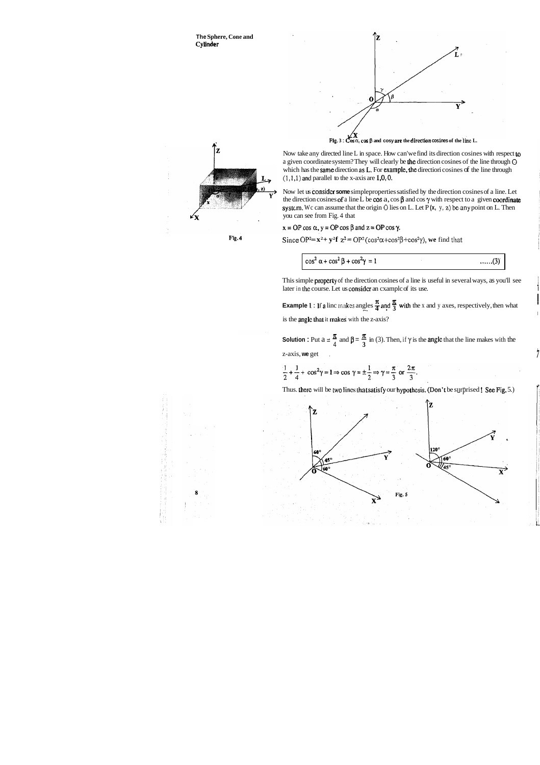

Now take any directed line L in space. How can'we find its direction cosines with respect **to**  a given coordinate system? They will clearly be the direction cosines of the line through **0**  which has the same direction as L. For example, the directiori cosines of the line through  $(1,1,1)$  and parallel to the x-axis are  $1,0,0$ .







This simple properly of the direction cosines of a line is useful in several ways, as you'll see later in the course. Let us consider an example of its use.

**Example 1** : **If a** linc makes angles  $\frac{\pi}{4}$  and  $\frac{\pi}{3}$  with the x and y axes, respectively, then what is the angle that it makes with the z-axis?

Now let us considcr **some** simpleproperties satisfied by the direction cosines of a line. Let the direction cosines of a line L be cos a, cos  $\beta$  and cos  $\gamma$  with respect to a given coordinate system. Wc can assume that the origin **0** lies on L. Let P **(x,** y, **z) beany** point on L. Then you can see from Fig. 4 that

 $x = OP \cos \alpha$ ,  $y = OP \cos \beta$  and  $z = OP \cos \gamma$ .

**Fig. 4** Since  $OP^2 = \mathbf{x}^2 + \mathbf{y}^2\mathbf{f} \ \mathbf{z}^2 = OP^2(\cos^2\alpha + \cos^2\beta + \cos^2\gamma)$ , we find that

 $\cos^2 \alpha + \cos^2 \beta + \cos^2 \gamma = 1$  $\ldots$  (3)

I

l,

**Solution :** Put  $a = \frac{\pi}{4}$  and  $\beta = \frac{\pi}{3}$  in (3). Then, if  $\gamma$  is the **angle** that the line makes with the z-axis, we get

 $\frac{1}{2} + \frac{1}{4} + \cos^2 \gamma = 1 \Rightarrow \cos \gamma = \pm \frac{1}{2} \Rightarrow \gamma = \frac{\pi}{3}$  or  $\frac{2\pi}{3}$ .

Thus. there will be two lines that satisfy our hypothesis. (Don't be surprised ! See Fig. 5.)

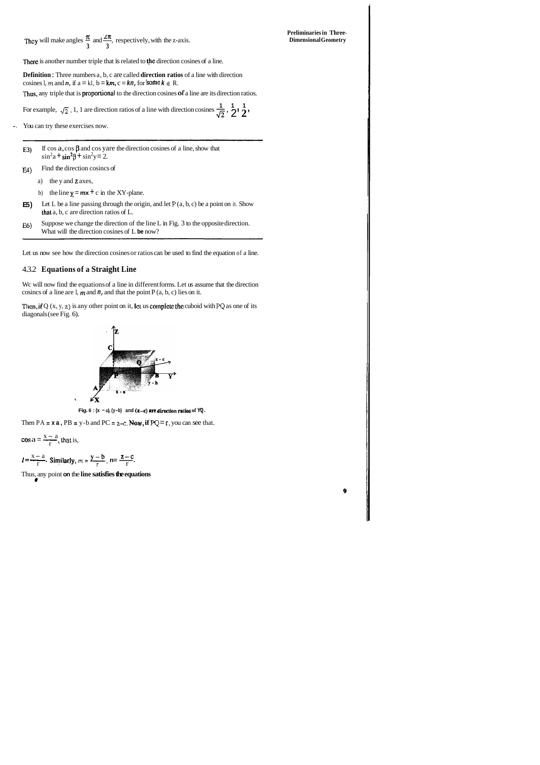**Preliminaries in Three- n asc** ~hcy will make angles - and-, respectively, with the z-axis. **Dimensional Geometry 3 3** 

There is another number triple that is related to the direction cosines of a line.

**Definition** : Three numbers a, b, c are called **direction ratios** of a line with direction cosines 1, *m* and **n**, if  $a = kI$ ,  $b = km$ ,  $c = kn$ , for some  $k \in R$ .

Thus, any triple that is **proportional** to the direction cosines of a line are its direction ratios.

For example,  $\sqrt{2}$ , 1, 1 are direction ratios of a line with direction cosines  $\frac{1}{\sqrt{2}}$ ,  $\frac{1}{2}$ ,  $\frac{1}{2}$ 

- **E3**) If cos  $a, \cos \beta$  and  $\cos$  yare the direction cosines of a line, show that  $\sin^2 a + \sin^2 \beta + \sin^2 y = 2$ .
- ) Find the direction cosincs of
	- a) the y and z axes,
	- b) the line  $y = mx + c$  in the XY-plane.
- **E5)** Let L be a line passing through the origin, and let P  $(a, b, c)$  be a point on it. Show thal a, b, c are direction ratios of L.
- E6) Suppose we change the direction of the line L in Fig. 3 to the opposite direction. What will the direction cosines of L **be** now?

-. You can try these exercises now.

Wc will now find the equations of a line in different forms. Let us assume that the direction cosincs of a line are 1,  $m$  and  $n$ , and that the point P  $(a, b, c)$  lies on it.

Then, if  $Q(x, y, z)$  is any other point on it, let us complete the cuboid with PQ as one of its diagonals (see Fig. 6).



**Fig. 6 :**  $(x - u)$ ,  $(y - b)$  and  $(z - c)$  are direction ratios of  $YQ$ .

 $\frac{x - a}{x - a}$ **F**<br>Then PA = **x a**, PB =  $\frac{x - a}{r}$ , that is,

Let us now see how the direction cosines or ratios can be used to find the equation of a line.

#### 4.3.2 **Equations of a Straight Line**

Then PA = **x a**, PB = y-b and PC = z-c. **New**, if PQ = r, you can see that.  
\n
$$
\cos a = \frac{x-a}{r}, \text{that is,}
$$
\n
$$
l = \frac{x-a}{r}. \text{ Similarly, } m = \frac{y-b}{r}, \text{ } n = \frac{z-c}{r}.
$$

Thus, any point **on** the **line satisfies the equations** \*

 $\ddot{\mathbf{0}}$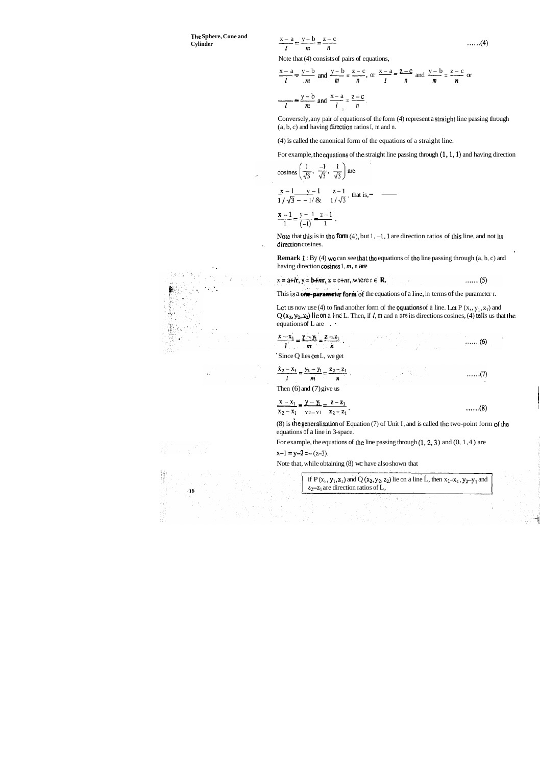**The Sphere, Cone and Cylinder** 

$$
\frac{x-a}{l} = \frac{y-b}{m} = \frac{z-c}{n}
$$
 ......(4)

Note that (4) consists of pairs of equations,

$$
\frac{x-a}{l} = \frac{y-b}{m} = \frac{z-c}{n}
$$
  
Note that (4) consists of pairs of equations,  

$$
\frac{x-a}{l} = \frac{y-b}{m} \text{ and } \frac{y-b}{m} = \frac{z-c}{n}, \text{ or } \frac{x-a}{l} = \frac{z-c}{n} \text{ and } \frac{y-b}{m} = \frac{z-c}{n}
$$

$$
\frac{y-b}{l} = \frac{z-c}{m} \text{ and } \frac{x-a}{l} = \frac{z-c}{n}
$$

Conversely, any pair of equations of the form (4) represent a straight line passing through  $(a, b, c)$  and having direction ratios I, m and n.

(4) is called the canonical form of the equations of a straight line.

For example, the equations of the straight line passing through  $(1, 1, 1)$  and having direction

(4) is called the canonical form of the equations of a straight  
\nFor example, the equations of the straight line passing through (cosines 
$$
\left(\frac{1}{\sqrt{3}}, \frac{-1}{\sqrt{3}}, \frac{1}{\sqrt{3}}\right)
$$
 are  
\n
$$
\frac{x-1}{\sqrt{3} - 1} = \frac{y-1}{\sqrt{3}} = \frac{z-1}{1/\sqrt{3}}
$$
, that is,  
\n
$$
\frac{x-1}{1} = \frac{y-1}{(-1)} = \frac{z-1}{1}
$$

Note that this is in the **form**  $(4)$ , but  $1, -1$ , 1 are direction ratios of this line, and not its .. direction cosines.

**Remark 1:** By (4) we can see that the equations of the line passing through (a, b, c) and having direction cosines 1, m, n are

 $x = a + lr$ ,  $y = b + mr$ ,  $z = c + nr$ , where  $r \in R$ .  $\ldots$  (5)

This **is a one-parameter form** of the equations of a line, in terms of the purameter r.

Let us now use (4) to find another form of the equations of a line. Let  $P (x, y_1, z_1)$  and  $Q(x_2, y_2, z_2)$  **lie on** a line L. Then, if  $l$ , m and n are its directions cosines, (4) tells us that the equations of L are  $\cdot$ 

 $\ldots$  (6)

$$
\frac{x-x_1}{l}=\frac{y-y_1}{m}=\frac{z-z_1}{n}.
$$

(8) is the generalisation of Equation (7) of Unit I, and is called the two-point form of the equations of a line in 3-space.

For example, the equations of the line passing through  $(1, 2, 3)$  and  $(0, 1, 4)$  are





' Since Q lies on L, we get

**Samuel Common** 

$$
\frac{x_2 - x_1}{l} = \frac{y_2 - y_1}{m} = \frac{z_2 - z_1}{n} \tag{7}
$$

Then  $(6)$  and  $(7)$  give us

$$
\frac{x - x_1}{x_2 - x_1} = \frac{y - y_1}{y_2 - y_1} = \frac{z - z_1}{z_2 - z_1}.
$$
 (8)

$$
x-1 = y-2 = -(z-3),
$$

Note that, while obtaining (8) wc have also shown that

if 
$$
P(x_1, y_1, z_1)
$$
 and  $Q(x_2, y_2, z_2)$  lie on a line L, then  $x_2-x_1$ ,  $y_2-y_1$  and  $z_2-z_1$  are direction ratios of L,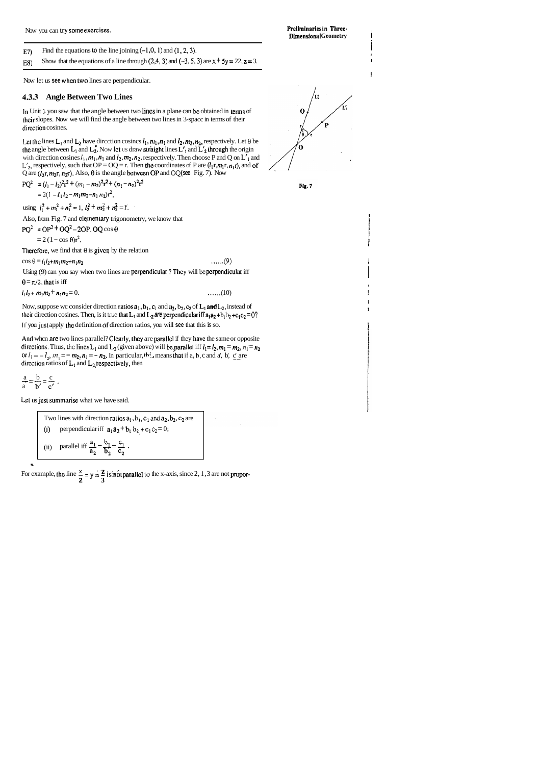Now you can try some exercises. *Prefinitional state of the exercises*  $\blacksquare$ 

**E7**) Find the equations  $\omega$  the line joining  $(-1,0,1)$  and  $(1,2,3)$ .

E8) Show that the equations of a line through  $(2,4,3)$  and  $(-3,5,3)$  are  $x + 5y = 22$ ,  $z = 3$ .

Now let us **see when two** lines are perpendicular.

1

In Unit **1** you saw that the angle between two lincs in a plane can **bc** obtained in terms of heir slopes. Now we will find the angle between two lines in 3-spacc in terms of their direction cosines.

Let the lines  $L_1$  and  $L_2$  have direction cosincs  $l_1$ ,  $m_1$ ,  $n_1$  and  $l_2$ ,  $m_2$ ,  $n_2$ , respectively. Let  $\theta$  be the angle between  $L_1$  and  $L_2^*$ . Now let us draw straight lines  $L'_1$  and  $L'_2$  through the origin with direction cosines  $l_1$ ,  $m_1$ ,  $n_1$  and  $l_2$ ,  $m_2$ ,  $n_2$ , respectively. Then choose P and Q on  $L'_1$  and  $L'_2$ , respectively, such that OP = OQ = r. Then the coordinates of P are  $(l_1r,m_1r,n_1r)$ , and of Q are  $(l_2r, m_2r, n_2r)$ . Also,  $\theta$  is the angle between OP and OQ (see Fig. 7). Now

!

#### **4.3.3 Angle Between Two Lines**

PQ<sup>2</sup> = 
$$
(l_1 - l_2)^2 r^2 + (m_1 - m_2)^2 r^2 + (n_1 - n_2)^2 r^2
$$
  
=  $2(1 - l_1 l_2 - m_1 m_2 - n_1 n_2)r^2$ ,

using  $l_1^2 + m_1^2 + n_1^2 = 1$ ,  $l_2^2 + m_2^2 + n_2^2 = 1$ .

Also, from Fig. 7 and clementary trigonometry, we know that

 $PQ^2 = OP^2 + OQ^2 - 2OP$ .  $OQ \cos \theta$ <br>=  $2(1-\cos \theta)r^2$ .

Therefore, we find that  $\theta$  is given by the relation

 $\cos \theta = l_1 l_2 + m_1 m_2 + n_1 n_2$  ...... (9)

Using (9) can you say when two lines are perpendicular? They will be perpendicular iff  $\theta = \pi/2$ , that is iff

 $l_1 l_2 + m_1 m_2 + n_1 n_2 = 0.$  .......(10)

Now, suppose wc consider direction ratios  $a_1$ ,  $b_1$ ,  $c_1$  and  $a_2$ ,  $b_2$ ,  $c_2$  of  $L_1$  and  $L_2$ , instead of their direction cosines. Then, is it true that  $L_1$  and  $L_2$  are perpendicular iff  $a_1 a_2 + b_1 b_2 + c_1 c_2 = 0$ ? If you just apply the definition of direction ratios, you will see that this is so.

And when are two lines parallel? Clearly, they are parallel if they have the same or opposite directions. Thus, the lines L<sub>1</sub> and L<sub>2</sub> (given above) will be, parallel iff  $l_1 = l_2$ ,  $m_1 = m_2$ ,  $n_1 = n_2$ or  $l_1 = -l_2$ ,  $m_1 = -m_2$ ,  $n_1 = -n_2$ . In particular, **the** means that if a, b, c and a', b', c' are direction ratios of L<sub>1</sub> and L<sub>2</sub> respectively, then

i

i **t** 

i



$$
\frac{a}{a} = \frac{b}{b'} = \frac{c}{c'}
$$

L.el us jusl summarise what we have said.

Two lines with direction ratios  $a_1$ ,  $b_1$ ,  $c_1$  and  $a_2$ ,  $b_2$ ,  $c_2$  are (i) perpendicular iff  $a_1 a_2 + b_1 b_2 + c_1 c_2 = 0$ ; (ii) parallel iff  $\frac{a_1}{a_2} = \frac{b_1}{b_2} = \frac{c_1}{c_2}$ .

For example, the line  $\frac{x}{2} = y = \frac{z}{3}$  is:**not** parallel to the x-axis, since 2, 1,3 are not propor-



**Dimensional Geometry** 

**m**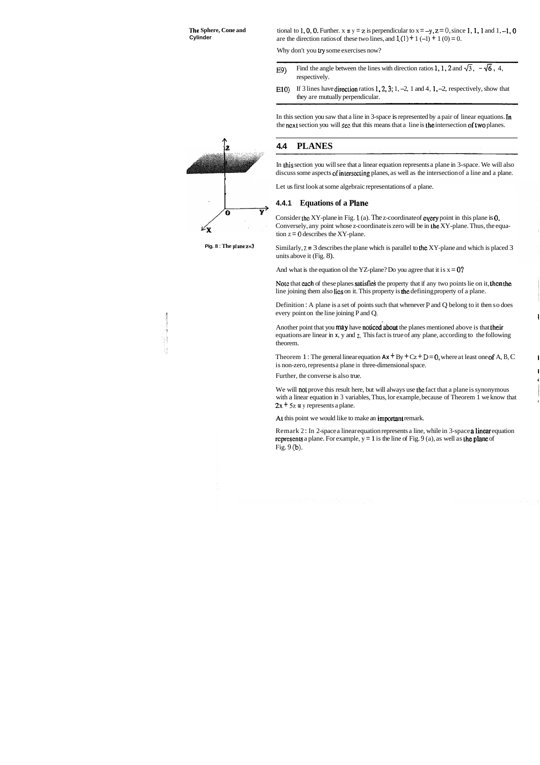tional to 1, 0, 0. Further.  $x = y = z$  is perpendicular to  $x = -y$ ,  $z = 0$ , since 1, 1, 1 and 1, -1, 0 are the direction ratios of these two lines, and  $1(1) + 1(-1) + 1(0) = 0$ .

Why don't you try some exercises now?

- E9) Find the angle between the lines with direction ratios 1, 1, 2 and  $\sqrt{3}$ ,  $-\sqrt{6}$ , 4, respectively.
- E10) If 3 lines have direction ratios  $1, 2, 3; 1, -2, 1$  and  $4, 1, -2$ , respectively, show that they are mutually perpendicular.

In this section you saw that a line in 3-space is represented by a pair of linear equations. In the next section you will see that this means that a line is the intersection of two planes.

**Pig. 8 : The plane**  $z=3$  **Similarly,**  $z = 3$  **describes the plane which is parallel to the XY-plane and which is placed 3** units above it (Fig. 8).

And what is the equation of the YZ-plane? Do you agree that it is  $x = 0$ ?

## <sup>T</sup>**4.4 PLANES**

In his section you will see that a linear equation represents a plane in 3-space. We will also discuss some aspects of inlersecling planes, as well as the intersection of a line and a plane.

Note that each of these planes satisfies the property that if any two points lie on it, then the line joining them also lics on it. This property is the defining property of a plane.

Definition : A plane is a set of points such that whenever **P** and Q belong to it then so does every point on the line joining P and Q.

Let us first look at some algebraic representations of a plane.

#### **4.4.1 Equations of a Plane**

Consider the XY-plane in Fig. 1 (a). The z-coordinate of every point in this plane is 0. Conversely, any point whose z-coordinate is zero will be in he XY-plane. Thus, the equation  $z = 0$  describes the XY-plane.

Another point that you **may** have **noticed about** the planes mentioned above is that their equations are linear in **x,** y and z. This fact is true of any plane, according to the following theorem.

Theorem 1 : The general linear equation  $Ax + By + Cz + D = 0$ , where at least one of A, B, C is non-zero, represents a plane in three-dimensional space.

Further, the converse is also true.

We will not prove this result here, but will always use the fact that a plane is synonymous with a linear equation in 3 variables, Thus, lor example, because of Theorem 1 we know that  $2x + 5z = y$  represents a plane.

At this point we would like to make an important remark.

Remark 2: In 2-space a linear equation represents a line, while in 3-space a linear equation rcpresents a plane. For example,  $y = 1$  is the line of Fig. 9 (a), as well as the plane of Fig. 9 (b).





I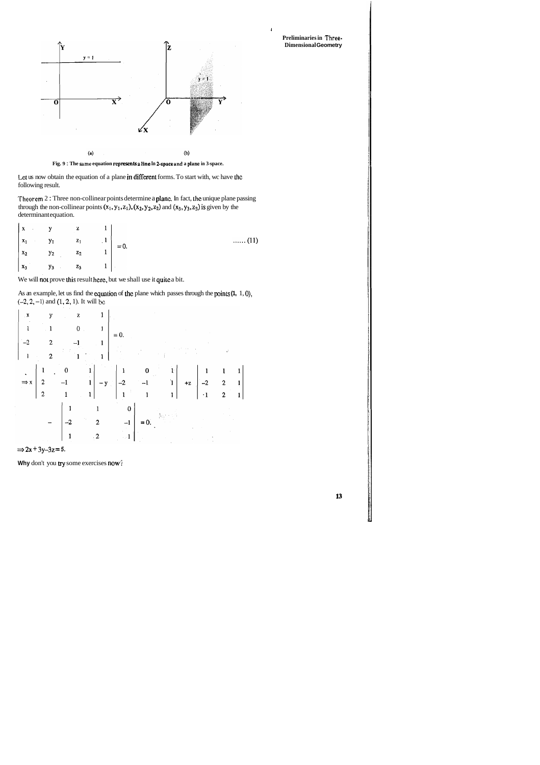

**Fig. 9** : **The same equation represents n line In Zspnce nnd a plane in 3-space.** 

Let us now obtain the equation of a plane in different forms. To start with, wc have lhc following result.

Theorem 2: Three non-collinear points determine a plane. In fact, the unique plane passing through the non-collinear points  $(x_1, y_1, z_1)$ ,  $(x_2, y_2, z_2)$  and  $(x_3, y_3, z_3)$  is given by the determinant equation.

| $\ldots$ (11) | $\begin{vmatrix} x & y & z & 1 \\ x_1 & y_1 & z_1 & 1 \\ x_2 & y_2 & z_2 & 1 \end{vmatrix} = 0.$ |       |       |                   |  |
|---------------|--------------------------------------------------------------------------------------------------|-------|-------|-------------------|--|
|               |                                                                                                  |       |       |                   |  |
|               |                                                                                                  | $z_3$ | $y_3$ | $\vert x_3 \vert$ |  |

We will not prove this result here, but we shall use it quite a bit.

As an example, let us find the equation of the plane which passes through the points  $(1, 1, 0)$ , **(-2,2,** -1) and (1,2, 1). It will bc



1

**Preliminaries in Three-Dimensional Geometry** 



**Why** don't you **try** some exercises now?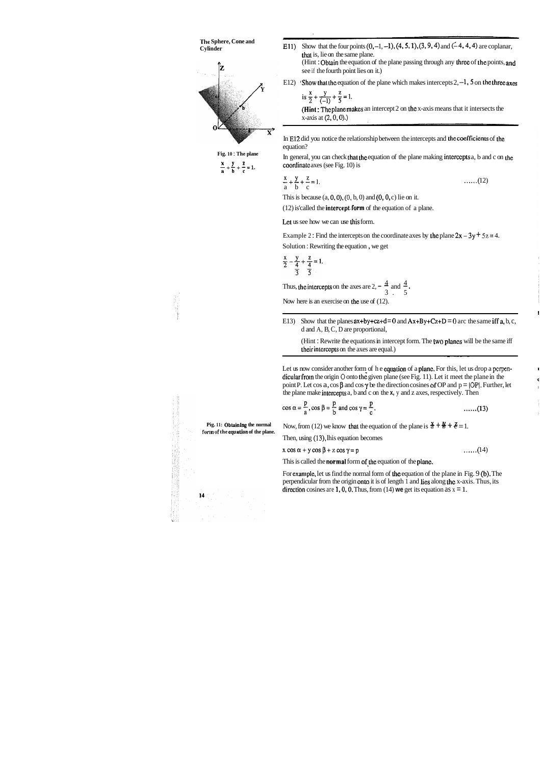

 $\frac{A}{a} + \frac{y}{b} + \frac{z}{c} = 1$ 

E11) Show that the four points  $(0, -1, -1)$ ,  $(4, 5, 1)$ ,  $(3, 9, 4)$  and  $(-4, 4, 4)$  are coplanar, that is, lie on the same plane. (Hint: Obtain the equation of the plane passing through any three of the points, and

**Pig. 11: Obtuining the normal**  form of the **cquation** of the plane.

In E12 did you notice the relationship between the intercepts and the coefficients of the equation?

see if the fourth point lies on it.)

E12) 'Show that the equation of the plane which makes intercepts  $2, -1$ , 5 on the three axes

is 
$$
\frac{x}{2} + \frac{y}{(-1)} + \frac{z}{5} = 1
$$
.

( $-1$ )  $\rightarrow$  (Hint : The plane makes an intercept 2 on the x-axis means that it intersects the  $x$ -axis at  $(2, 0, 0)$ .)

In general, you can check that the equation of the plane making intercepts a, b and c on the coordinate axes (see Fig. 10) is

E13) Show that the planes  $ax+by+cz+d = 0$  and  $Ax+By+Cz+D = 0$  arc the same iff a, b, c, d and A, B, C, D are proportional,

(Hint : Rewrite the equations in intercept form. The two plancs will be the same iff their intercepts on the axes are equal.)

$$
\frac{x}{a} + \frac{y}{b} + \frac{z}{c} = 1.
$$
 ......(12)

This is because  $(a, 0, 0)$ ,  $(0, b, 0)$  and  $(0, 0, c)$  lie on it.

Let us now consider another form of he equation of a plane. For this, let us drop a perpendicular from the origin 0 onto the given plane (see Fig. 11). Let it meet the plane in the point P. Let cos a, cos  $\beta$  and cos  $\gamma$  be the direction cosines of OP and  $p = |OP|$ . Further, let the plane make inlercepls a, b and c on the **x,** y and z axes, respectively. Then

$$
\cos \alpha = \frac{p}{a}, \cos \beta = \frac{p}{b} \text{ and } \cos \gamma = \frac{p}{c}.
$$
 (13)

Now, from (12) we know that the equation of the plane is  $\frac{x}{d} + \frac{y}{b} + \frac{z}{c} = 1$ .

(12) is'called the intercept.form of the equation of a plane.

Let us see how we can use his form.

Example 2: Find the intercepts on the coordinate axes by the plane  $2x - 3y + 5z = 4$ .

Solution : Rewriting the equation , we get

$$
\frac{x}{2} - \frac{y}{4} + \frac{z}{4} = 1.
$$

Thus, the intercepts on the axes are  $2, -\frac{4}{3}$  and  $\frac{4}{5}$ .

Now here is an exercise on the use of  $(12)$ .

Then, using (13), lhis equation becomes

$$
x \cos \alpha + y \cos \beta + z \cos \gamma = p \tag{14}
$$

This is called the **normal** form of the equation of the plane.

For example, let us find the normal form of the equation of the plane in Fig. 9 (b). The perpendicular from the origin onto it is of length 1 and lies along thc x-axis. Thus, its direction cosines are 1, 0, 0. Thus, from  $(14)$  we get its equation as  $x = 1$ .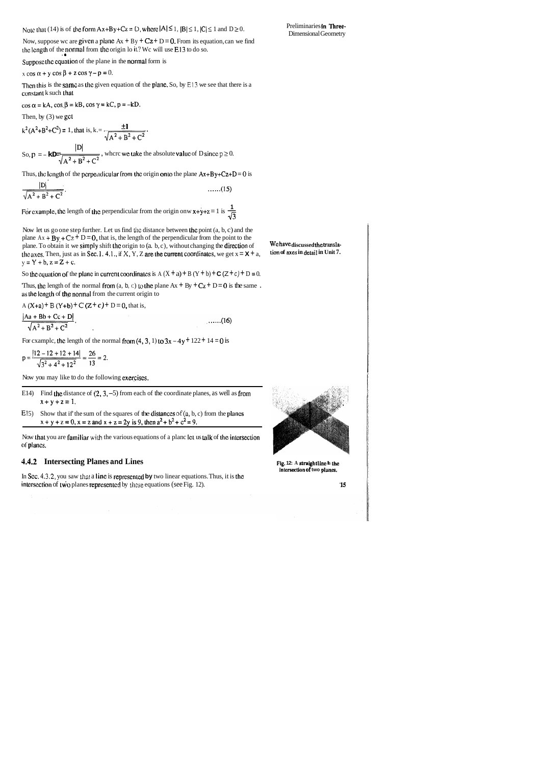Note that (14) is of the form  $Ax+By+Cz = D$ , where  $|A| \le 1$ ,  $|B| \le 1$ ,  $|C| \le 1$  and  $D \ge 0$ .

Preliminaries in Three-Dimensional Geometry

Now, suppose wc are given a plane  $Ax + By + Cz + D = 0$ . From its equation, can we find the length of the normal from the origin lo  $\mathfrak{u}$ ? We will use E13 to do so.

Suppose the equation of the plane in the normal form is

 $x \cos \alpha + y \cos \beta + z \cos \gamma - p = 0.$ 

Then this is the same as the given equation of the plane. So, by E13 we see that there is a constant k such that

 $\cos \alpha = kA$ ,  $\cos \beta = kB$ ,  $\cos \gamma = kC$ ,  $p = -kD$ .

Then, by  $(3)$  we get

$$
k^2 (A^2 + B^2 + C^2) = 1
$$
, that is,  $k = \frac{\pm 1}{\sqrt{A^2 + B^2 + C^2}}$ .

So,  $p = -kD = \frac{|D|}{\sqrt{A^2 + B^2 + C^2}}$ , where we take the absolute value of D since  $p \ge 0$ .

Thus, the length of the perpendicular from the origin onto the plane  $Ax + By + Cz + D = 0$  is

$$
\frac{|D|}{\sqrt{A^2 + B^2 + C^2}}.
$$
......(15)

For example, the length of the perpendicular from the origin onw  $x+y+z=1$  is  $\frac{1}{\sqrt{3}}$ 

Now let us go one step further. Let us find the distance between the point  $(a, b, c)$  and the plane  $Ax + By + Cz + D = 0$ , that is, the length of the perpendicular from the point to the plane. To obtain it we simply shift the origin to (a. b, c), without changing the direction of the axes. Then, just as in Sec. 1. 4.1., if X, Y, Z are the current coordinates, we get  $x = X + a$ ,  $y = Y + b$ ,  $z = Z + c$ .

So the equation of the plane in current coordinates is  $A(X + a) + B(Y + b) + C(Z + c) + D = 0$ .

Thus, the length of the normal from  $(a, b, c)$  to the plane  $Ax + By + Cz + D = 0$  is the same. as the length of the normal from the current origin to

A  $(X+a)$  + B  $(Y+b)$  + C  $(Z + c)$  + D = 0, that is,

 $\frac{|Aa + Bb + Cc + D|}{\sqrt{A^2 + B^2 + C^2}}$ .  $\dots(16)$ 

For example, the length of the normal from  $(4, 3, 1)$  to  $3x - 4y + 122 + 14 = 0$  is

$$
p = \frac{|12 - 12 + 12 + 14|}{\sqrt{3^2 + 4^2 + 12^2}} = \frac{26}{13} = 2.
$$

Now you may like to do the following exercises.

- E14) Find the distance of  $(2, 3, -5)$  from each of the coordinate planes, as well as from  $x + y + z = 1$ .
- E15) Show that if the sum of the squares of the distances of  $(a, b, c)$  from the planes  $x + y + z = 0$ ,  $x = z$  and  $x + z = 2y$  is 9, then  $a^2 + b^2 + c^2 = 9$ .

Now that you are familiar with the various equations of a planc let us talk of the intersection of planes.

#### 4.4.2 Intersecting Planes and Lines

In Sec. 4.3.2, you saw that a line is represented by two linear equations. Thus, it is the intersection of two planes represented by these equations (see Fig. 12).



We have discussed the transla-

tion of axes in detail in Unit 7.

Fig. 12: A straight line is the intersection of two planes.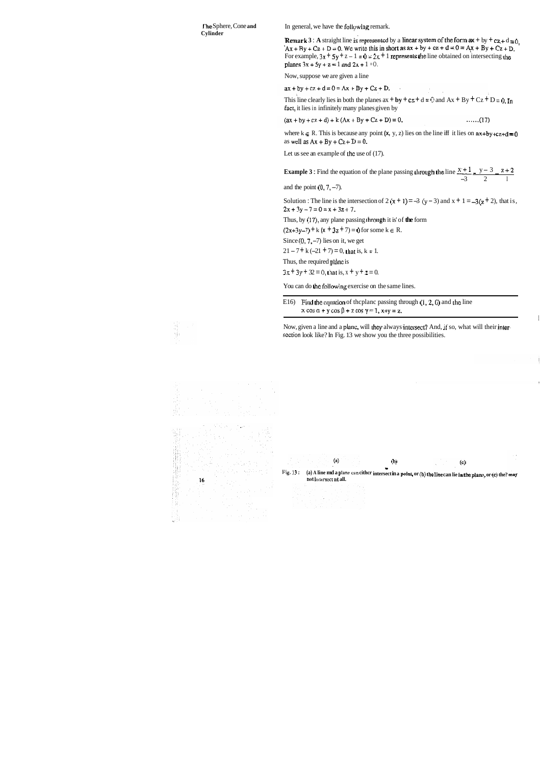**I'he** Sphere, Cone **and Cylinder** 

In general, we have the following remark.

**Remark 3 :** A straight line is represented by a linear system of the form  $ax + by + cz + d = 0$ ,  $Ax + By + Cz + D = 0$ . We write this in short as  $ax + by + cz + d = 0 = Ax + By + Cz + D$ . For example,  $3x + 5y + z - 1 = 0 = 2x + 1$  represents the line obtained on intersecting the planes  $3x + 5y + z = 1$  and  $2x + 1 = 0$ .

Now, suppose we are given a line

 $ax + by + cz + d = 0 = Ax + By + Cz + D.$ 

This line clearly lies in both the planes  $ax + by + cz + d = 0$  and  $Ax + By + Cz + D = 0$ . In fact, it lies in infinitely many planes given by

 $(ax + by + cz + d) + k(Ax + By + Cz + D) = 0,$  $......(17)$ 

where  $k \in R$ . This is because any point  $(x, y, z)$  lies on the line iff it lies on  $ax+by+cz+d=0$ as well as  $Ax + By + Cz + D = 0$ .

Let us see an example of the use of (17).

**Example 3**: Find the equation of the plane passing through the line  $\frac{x+1}{-3} = \frac{y-3}{2} = \frac{z+2}{1}$ <br> **Example 3**: Find the equation of the plane passing through the line  $\frac{x+1}{-3} = \frac{y-3}{2} = \frac{z+2}{1}$ 

and the point  $(0, 7, -7)$ .

Solution : The line is the intersection of  $2(x + 1) = -3(y - 3)$  and  $x + 1 = -3(z + 2)$ , that is,  $2x + 3y - 7 = 0 = x + 3z + 7.$ 

Thus, by (17), any plane passing through it is' of the form

 $(2x+3y-7) + k(x + 3z + 7) = 0$  for some k  $\in$  R.

Since  $(0, 7, -7)$  lies on it, we get

 $21 - 7 + k(-21 + 7) = 0$ , that is,  $k = 1$ .

Thus, the required plane is

 $3x + 3y + 32 = 0$ , that is,  $x + y + z = 0$ .

You can do he following exercise on the same lines.

E16) Find the equation of the plane passing through  $(1, 2, 0)$  and the line  $x \cos \alpha + y \cos \beta + z \cos \gamma = 1$ ,  $x+y=z$ .

Now, given a line and a planc, will lhey always inlersect? And, **if** so, what will their inlerscction look like? In Fig. 13 we show you the three possibilities.



흎

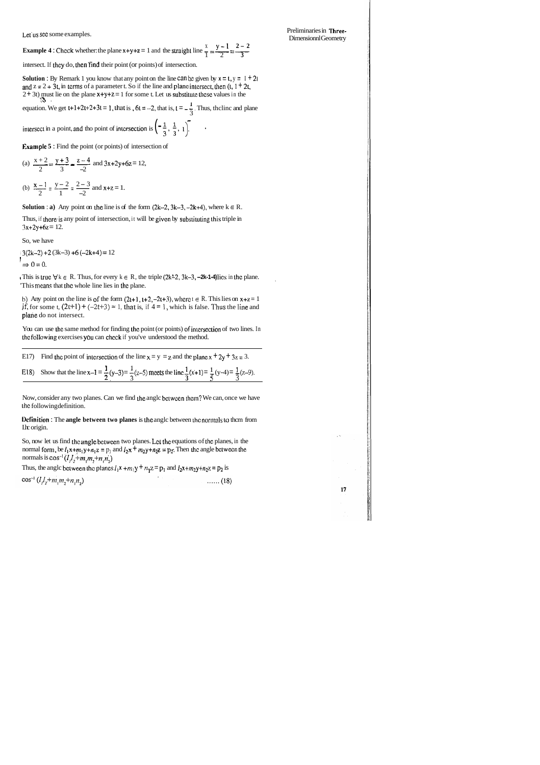Let us see some examples.

 $x \quad y-1 \quad 2-2$ Let us sec some examples.<br>**Example 4** : Check whether: the plane  $x+y+z=1$  and the straight line  $\frac{x}{1} = \frac{y-1}{2} = \frac{2-2}{3}$ 

intersect. If they do, then find their point (or points) of intersection.

**Solution :** By Remark 1 you know that any point on the line can be given by  $x = t$ ,  $y = 1 + 2t$ and  $z = 2 + 3t$ , in terms of a parameter t. So if the line and plane intersect, then (t, 1 + 2t, 2+ 3t) must lie on the plane  $x+y+z=1$  for some t. Let us substitute these values in the

equation. We get  $t+1+2t+2+3t = 1$ , that is,  $6t = -2$ , that is,  $t = -\frac{1}{3}$ . Thus, the line and plane  $\frac{3}{5}$ 

intersect in a point, and tho point of intersection is  $\left(-\frac{1}{3}, \frac{1}{3}, 1\right)$ .<br> **Example 5**: Find the point (or points) of intersection of<br>
(a)  $\frac{x+2}{2} = \frac{y+3}{3} = \frac{z-4}{-2}$  and  $3x+2y+6z = 12$ ,

**Example 5** : Find the point (or points) of intersection of

h) Any point on the line is of the form  $(2t+1, t+2, -2t+3)$ , where  $t \in R$ . This lies on  $x+z=1$ if, for some t,  $(2t+1) + (-2t+3) = 1$ , that is, if  $4 = 1$ , which is false. Thus the line and plarie do not intersect.

(a) 
$$
\frac{x+2}{2} = \frac{y+3}{3} = \frac{z-4}{-2}
$$
 and  $3x+2y+6z =$   
\n(b)  $\frac{x-1}{2} = \frac{y-2}{1} = \frac{2-3}{-2}$  and  $x+z=1$ .

**Solution : a)** Any point on the line is of the form  $(2k-2, 3k-3, -2k+4)$ , where  $k \in R$ .

Thus, if there is any point of intersection, it will be given by substituting this triple in  $3x+2y+6z = 12$ .

You can use the same method for finding the point (or points) of intersection of two lines. In thc foIIowing exercises you can chcck if you've understood the method.

So, now let us find thc angle bctwcen two planes. Lcl tho equations of thc planes, in the normal form, be  $I_1x+m_1y+n_1z = p_1$  and  $I_2x + m_2y+n_2z = p_2$ . Then the angle between the normals is  $\cos^{-1}(l_1l_2+m_1m_2+n_1n_2)$ 

Thus, the angle between the planes  $l_1 x + m_1 y + n_1 z = p_1$  and  $l_2 x + m_2 y + n_2 z = p_2$  is

 $\cos^{-1} (l_1 l_2 + m_1 m_2 + n_1 n_2)$  $\ldots$  (18)

So, we have

 $i3(2k-2) + 2(3k-3) + 6(-2k+4) = 12$ 

 $\Rightarrow 0 = 0.$ 

It This is true  $\forall k \in \mathbb{R}$ . Thus, for every  $k \in \mathbb{R}$ , the triple (2k<sup>2</sup>-2, 3k-3, -2k-1-4) lies in the plane. This means that the whole line lies in the plane.

E17) Find the point of intersection of the line x = y = z and the plane x + 2y + 3z = 3.  
E18) Show that the line x-1 = 
$$
\frac{1}{2}(y-3) = \frac{1}{3}(z-5)
$$
 meets the line  $\frac{1}{3}(x+1) = \frac{1}{5}(y-4) = \frac{1}{3}(z-9)$ .

Now, consider any two planes. Can we find he anglc betwcen thcm? We can, once we have l.hc following definition.

**Definition : The angle between two planes is the angle between the normals to them from** Ihc origin.

Preliminaries in Three-Dimensionnl Geometry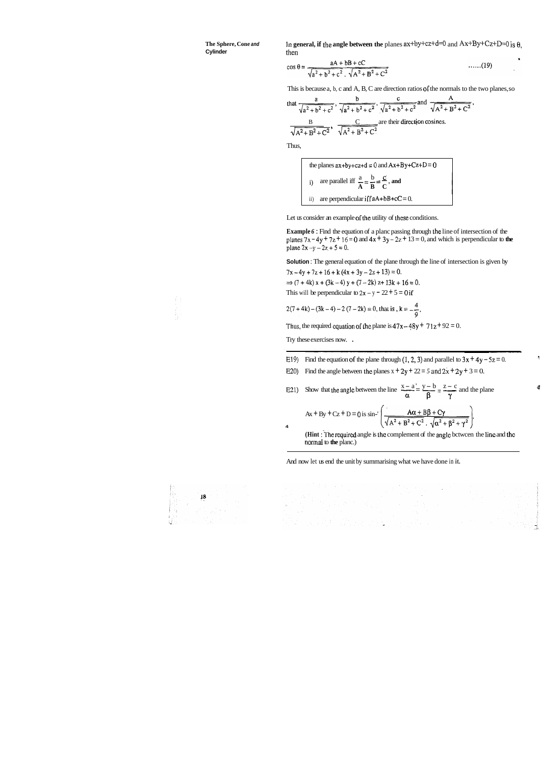The Sphere, Cone and **Cylinder** 

In general, if the angle between the planes  $ax+by+cz+d=0$  and  $Ax+By+Cz+D=0$  is  $\theta$ . then

$$
\cos \theta = \frac{aA + bB + cC}{\sqrt{a^2 + b^2 + c^2} \cdot \sqrt{A^2 + B^2 + C^2}}
$$
 ......(19)

This is because a, b, c and A, B, C are direction ratios of the normals to the two planes, so

that 
$$
\frac{a}{\sqrt{a^2 + b^2 + c^2}}
$$
,  $\frac{b}{\sqrt{a^2 + b^2 + c^2}}$ ,  $\frac{c}{\sqrt{a^2 + b^2 + c^2}}$  and  $\frac{A}{\sqrt{A^2 + B^2 + C^2}}$   
 $\frac{B}{\sqrt{A^2 + B^2 + C^2}}$ ,  $\frac{C}{\sqrt{A^2 + B^2 + C^2}}$  are their direction cosines.

Thus,

the planes 
$$
ax+by+cz+d = 0
$$
 and  $Ax+By+Cz+D = 0$   
\ni) are parallel iff  $\frac{a}{A} = \frac{b}{B} = \frac{c}{C}$ , and  
\nii) are perpendicular iff  $aA+bB+cC = 0$ .

Let us consider an example of the utility of these conditions.

Example 6 : Find the equation of a planc passing through the line of intersection of the planes  $7x - 4y + 7z + 16 = 0$  and  $4x + 3y - 2z + 13 = 0$ , and which is perpendicular to the plane  $2x -y - 2z + 5 = 0$ .

Solution : The general equation of the plane through the line of intersection is given by

 $7x-4y+7z+16+k(4x+3y-2z+13)=0.$ 

 $\Rightarrow$  (7 + 4k) x + (3k - 4) y + (7 - 2k) z+ 13k + 16 = 0.

This will be perpendicular to  $2x - y - 22 + 5 = 0$  if

$$
2(7+4k) - (3k-4) - 2(7-2k) = 0
$$
, that is,  $k = -\frac{4}{9}$ .

Thus, the required equation of the plane is  $47x - 48y + 71z + 92 = 0$ .

Try these exercises now. .

 $\pmb{4}$ 

- E19) Find the equation of the plane through  $(1, 2, 3)$  and parallel to  $3x + 4y 5z = 0$ .
- E20) Find the angle between the planes  $x + 2y + 22 = 5$  and  $2x + 2y + 3 = 0$ .

E21) Show that the angle between the line  $\frac{x-a}{\alpha} = \frac{y-b}{\beta} = \frac{z-c}{\gamma}$  and the plane

$$
Ax + By + Cz + D = 0 \text{ is } \sin^{-1}\left(\frac{A\alpha + B\beta + C\gamma}{\sqrt{A^2 + B^2 + C^2} \cdot \sqrt{\alpha^2 + \beta^2 + \gamma^2}}\right)
$$

(Hint: The required angle is the complement of the angle between the line and the normal to the planc.)

And now let us end the unit by summarising what we have done in it.

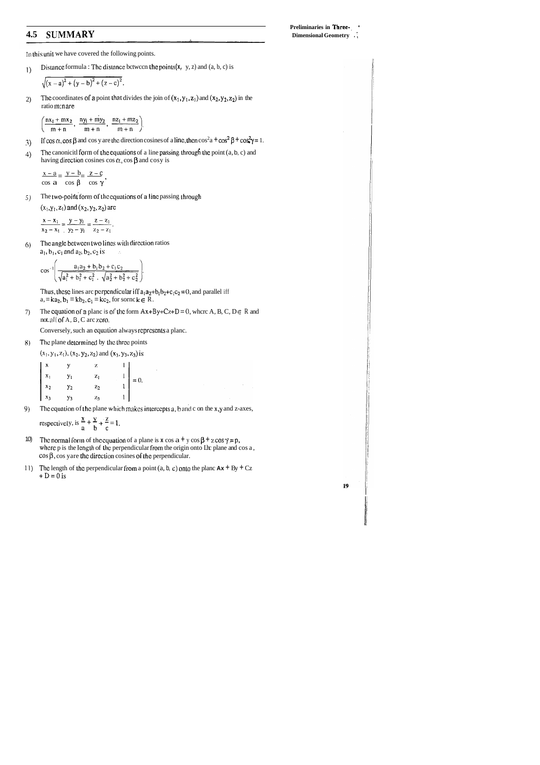### 4.5 SUMMARY

In this unit we have covered the following points.

Distance formula: The distance between the points $(x, y, z)$  and  $(a, b, c)$  is  $\left\langle \right\rangle$ 

$$
\sqrt{(x-a)^2 + (y-b)^2 + (z-c)^2}.
$$

The coordinates of a point that divides the join of  $(x_1, y_1, z_1)$  and  $(x_2, y_2, z_2)$  in the  $2)$ ratio m:n are

$$
\left(\frac{nx_1 + mx_2}{m+n}, \frac{ny_1 + my_2}{m+n}, \frac{nz_1 + mz_2}{m+n}\right)
$$

- If  $\cos \alpha$ ,  $\cos \beta$  and  $\cos y$  are the direction cosines of a line, then  $\cos^2 a + \cos^2 \beta + \cos^2 \gamma = 1$ . 3)
- The canonicitl form of the equations of a line passing through the point  $(a, b, c)$  and  $4)$ having direction cosines  $\cos \alpha$ ,  $\cos \beta$  and  $\cos y$  is

$$
\frac{x-a}{\cos a} = \frac{y-b}{\cos \beta} = \frac{z-c}{\cos \gamma}.
$$

The two-point form of the equations of a line passing through  $5)$ 

 $(x_1, y_1, z_1)$  and  $(x_2, y_2, z_2)$  are

 $\frac{x - x_1}{x_2 - x_1} = \frac{y - y_1}{y_2 - y_1} = \frac{z - z_1}{z_2 - z_1}.$ 

The angle between two lines with direction ratios  $\Theta$  $a_1, b_1, c_1$  and  $a_2, b_2, c_2$  is  $\sim$   $\sim$ 

$$
\cos^{-1}\left(\frac{a_1a_2 + b_1b_2 + c_1c_2}{\sqrt{a_1^2 + b_1^2 + c_1^2} \cdot \sqrt{a_2^2 + b_2^2 + c_2^2}}\right)
$$

Thus, these lines are perpendicular iff  $a_1a_2 + b_1b_2+c_1c_2 = 0$ , and parallel iff  $a_1 = k a_2$ ,  $b_1 = k b_2$ ,  $c_1 = k c_2$ , for sornc  $k \in R$ .

The equation of a planc is of the form  $Ax+By+Cz+D=0$ , where A, B, C, D  $\in$  R and 7) notall of A, B, C are zero.

Conversely, such an equation always represents a plane.

The plane determined by the three points 8)

 $(x_1, y_1, z_1)$ ,  $(x_2, y_2, z_2)$  and  $(x_3, y_3, z_3)$  is

| $\mathbf{x}$ | y              | Ż.    |                                                       |
|--------------|----------------|-------|-------------------------------------------------------|
| $X_1$        | $y_1$          | $z_1$ | $\begin{vmatrix} 1 \\ 1 \\ 1 \\ 1 \end{vmatrix} = 0.$ |
| $x_2$        | Y <sub>2</sub> | $z_2$ |                                                       |
| $x_3$        | У <sub>3</sub> | $z_3$ |                                                       |

The equation of the plane which makes intercepts a, b and c on the x,y and z-axes, 9)

respectively, is  $\frac{x}{a} + \frac{y}{b} + \frac{z}{c} = 1$ .

- $10<sub>0</sub>$ The normal form of the equation of a plane is  $x \cos a + y \cos \beta + z \cos \gamma = p$ , where p is the length of the perpendicular from the origin onto Il plane and cos a,  $\cos \beta$ , cos yare the direction cosines of the perpendicular.
- 11) The length of the perpendicular from a point (a, b, c) onto the planc  $Ax + By + Cz$  $+D=0$  is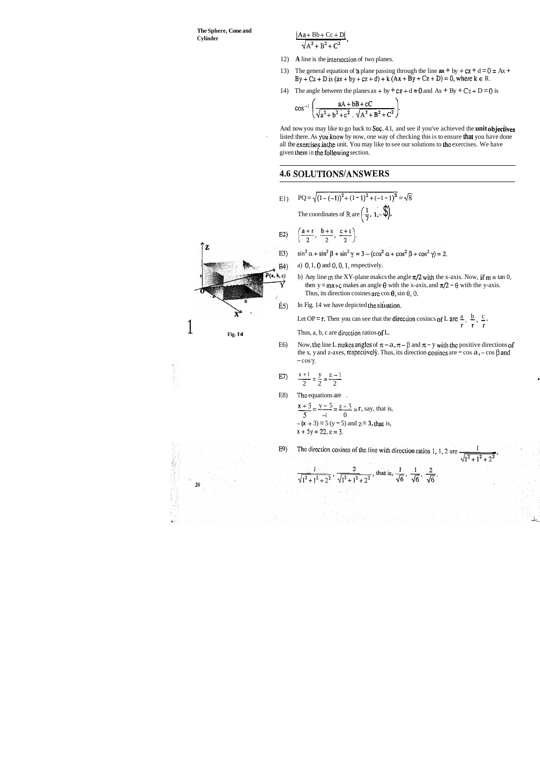**The Sphere, Cone and** 

Cylinder Cylinder  $\frac{[Aa + Bb + Cc + D]}{\sqrt{A^2 + B^2 + C^2}}$ 

- 12) **A** line is the intersection of two planes.
- 13) The general equation of a plane passing through the line  $ax + by + cz + d = 0 = Ax +$  $By + Cz + D$  is  $(ax + by + cz + d) + k(Ax + By + Cz + D) = 0$ , where  $k \in R$ .
- 14) The angle between the planes  $ax + by + cz + d = 0$  and  $Ax + By + Cz + D = 0$  is

$$
\cos^{-1}\left(\frac{aA+bB+cC}{\sqrt{a^2+b^2+c^2}, \sqrt{A^2+B^2+C^2}}\right).
$$

And now you may like to go back to **Sec.** 4.1, and see if you've achieved the **unit objectives** listed there. As you know by now, one way of checking this is to ensure that you have done all the exercises in the unit. You may like to see our solutions to the exercises. We have given them in the following section.

#### **4.6 SOLUTIONS/ANS WERS**

El)  $PQ = \sqrt{(1 - (-1))^2 + (1 - 1)^2 + (-1 - 1)^2} = \sqrt{8}$ The coordinates of R are  $\left(\frac{1}{7}, 1, -\frac{1}{\sqrt{2}}\right)$ .

52) 
$$
\left(\frac{a+r}{2}, \frac{b+s}{2}, \frac{c+1}{2}\right)
$$

- $\sin^2 \alpha + \sin^2 \beta + \sin^2 \gamma = 3 (\cos^2 \alpha + \cos^2 \beta + \cos^2 \gamma) = 2.$
- **E4**) a) 0, 1, 0 and 0, 0, 1, respectively.
	- b) Any line in the XY-plane makes the angle  $\pi/2$  with the x-axis. Now, if  $m = \tan 0$ , then y =  $mx + c$  makes an angle  $\theta$  with the x-axis, and  $\pi/2 - \theta$  with the y-axis. Thus, its direction cosines arc  $\cos \theta$ ,  $\sin \theta$ , 0,
- $\tilde{E}5$ ) In Fig. 14 we have depicted the situation.

**Fig. 14 Thus, a, b, c are direction ratios of L.** 

E6) Now, the line L makes angles of  $\pi - a$ ,  $\pi - \beta$  and  $\pi - y$  with the positive directions of the x, y and z-axes, respectively. Thus, its direction cosines are  $-\cos a, -\cos \beta$  and  $-\cos \gamma$ .





УĜ

 $20$ 

$$
E7) \qquad \frac{x+1}{2} = \frac{y}{2} = \frac{z-1}{2}
$$

E8) The equations are .

$$
\frac{x+3}{5} = \frac{y-5}{-1} = \frac{z-3}{0} = r
$$
, say, that is,  
-(x + 3) = 5 (y - 5) and z = 3, that is,  
x + 5y = 22, z = 3.

The direction cosines of the line with direction ratios 1, 1, 2 are. E9)  $\sqrt{1^2+1^2+2^2}$ 

$$
\frac{1}{\sqrt{1^2+1^2+2^2}}, \frac{2}{\sqrt{1^2+1^2+2^2}}, \text{ that is, } \frac{1}{\sqrt{6}}, \frac{1}{\sqrt{6}}, \frac{2}{\sqrt{6}}.
$$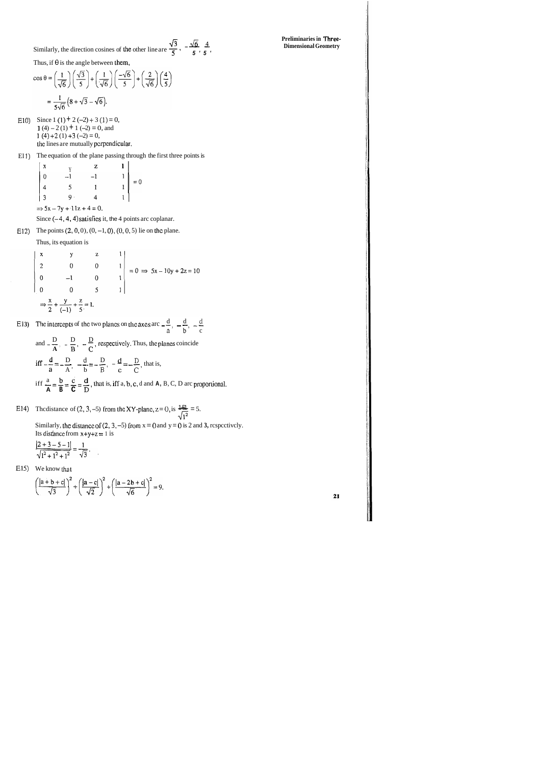Similarly, the direction cosines of the other line are 
$$
\frac{\sqrt{3}}{5}
$$
,  $-\frac{\sqrt{6}}{5}$ ,  $\frac{4}{5}$ 

 $\overline{\phantom{a}}$ 

Thus, if  $\theta$  is the angle between them,

$$
\cos \theta = \left(\frac{1}{\sqrt{6}}\right) \left(\frac{\sqrt{3}}{5}\right) + \left(\frac{1}{\sqrt{6}}\right) \left(\frac{-\sqrt{6}}{5}\right) + \left(\frac{2}{\sqrt{6}}\right) \left(\frac{4}{5}\right)
$$

$$
= \frac{1}{5\sqrt{6}} \left(8 + \sqrt{3} - \sqrt{6}\right).
$$

E10) Since 1 (1) + 2 (-2) + 3 (1) = 0, 1 (4)  $-2(1) + 1(-2) = 0$ , and  $1(4)+2(1)+3(-2)=0,$ the lines are mutually perpendicular.

E11) The equation of the plane passing through the first three points is

| $\boldsymbol{\mathrm{x}}$ |                 | $\mathbf{Z}$ |                                                      |
|---------------------------|-----------------|--------------|------------------------------------------------------|
| $\overline{0}$            | $-1$            | $-1$         |                                                      |
| $\overline{4}$            | $5\overline{)}$ |              | $\begin{vmatrix} 1 \\ 1 \\ 1 \\ 1 \end{vmatrix} = 0$ |
| $\overline{3}$            | ۰ (             | 4            |                                                      |
|                           |                 |              |                                                      |

 $\Rightarrow$  5x - 7y + 11z + 4 = 0.

Since  $(-4, 4, 4)$  satisfies it, the 4 points arc coplanar.

E12) The points  $(2, 0, 0), (0, -1, 0), (0, 0, 5)$  lie on the plane.

Thus, its equation is

x  
\ny  
\n2  
\n0  
\n0  
\n1  
\n
$$
\begin{vmatrix}\nx \\
2 \\
-1 \\
0\n\end{vmatrix} = 0 \Rightarrow 5x - 10y + 2z = 10
$$
  
\n
$$
\Rightarrow \frac{x}{2} + \frac{y}{(-1)} + \frac{z}{5} = 1.
$$

E13) The intercepts of the two planes on the axes are 
$$
-\frac{d}{a}
$$
,  $-\frac{d}{b}$ ,  $-\frac{d}{c}$ 

and 
$$
-\frac{D}{A}
$$
,  $-\frac{D}{B}$ ,  $-\frac{D}{C}$ , respectively. Thus, the planes coincide  
iff  $-\frac{d}{a} = -\frac{D}{A}$ ,  $-\frac{d}{b} = -\frac{D}{B}$ ,  $-\frac{d}{c} = -\frac{D}{C}$ , that is,  
iff  $\frac{a}{A} = \frac{b}{B} = \frac{c}{C} = \frac{d}{D}$ , that is, iff a, b, c, d and A, B, C, D arc proportional.

E14) The distance of (2, 3, -5) from the XY-plane,  $z = 0$ , is  $\frac{451}{\sqrt{1^2}} = 5$ . Similarly, the distance of (2, 3, -5) from  $x = 0$  and  $y = 0$  is 2 and 3, respectively. Its distance from  $x+y+z=1$  is

$$
\frac{|2+3-5-1|}{\sqrt{1^2+1^2+1^2}} = \frac{1}{\sqrt{3}}.
$$

E15) We know that

$$
\frac{|a+b+c|}{\sqrt{3}}^2 + \left(\frac{|a-c|}{\sqrt{2}}\right)^2 + \left(\frac{|a-2b+c|}{\sqrt{6}}\right)^2 = 9.
$$

 $\alpha$ 

Preliminaries in Three-**Dimensional Geometry**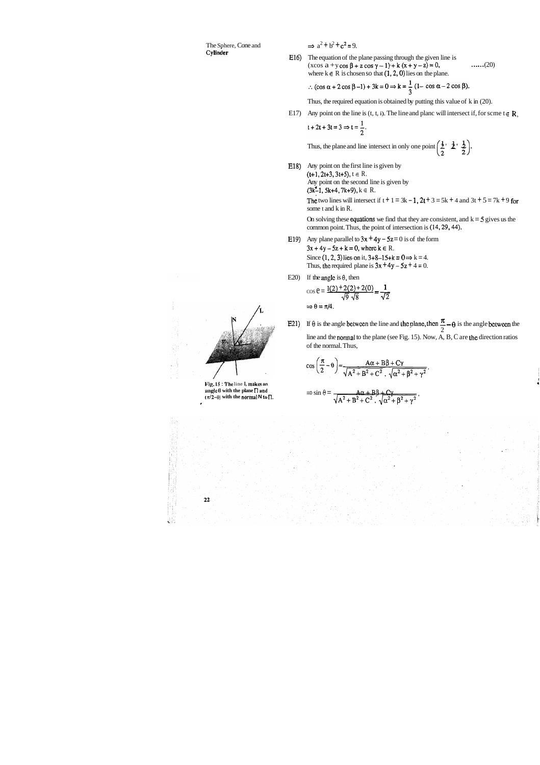# The Sphere, Cone and **Cylinder**

 $\Rightarrow$   $a^2 + b^2 + c^2 = 9$ .

E16) The equation of the plane passing through the given line is  $(x\cos a + y\cos \beta + z\cos \gamma - 1) + k(x+y-z) = 0,$  ......(20) where  $k \in R$  is chosen so that  $(1, 2, 0)$  lies on the plane.

$$
\therefore (\cos \alpha + 2 \cos \beta - 1) + 3k = 0 \Rightarrow k = \frac{1}{3} (1 - \cos \alpha - 2 \cos \beta).
$$

Thus, the required equation is obtained by putting this value of k in (20).

E17) Any point on the line is  $(t, t, i)$ . The line and planc will intersect if, for scme  $t \in \mathbb{R}$ ,

 $t + 2t + 3t = 3 \Rightarrow t = \frac{1}{2}$ .

Thus, the plane and line intersect in only one point  $\left(\frac{1}{2}, \frac{1}{2}, \frac{1}{2}\right)$ .

E18) Any point on the first line is given by  $(t+1, 2t+3, 3t+5), t \in R$ . Any point on the second line is given by  $(3k-1, 5k+4, 7k+9), k \in R$ .

> The two lines will intersect if  $t + 1 = 3k - 1$ ,  $2t + 3 = 5k + 4$  and  $3t + 5 = 7k + 9$  for some t and k in R.

On solving these **equations** we find that they are consistent, and  $k = 5$  gives us the common point. Thus, the point of intersection is (14,29,44).

- E19) Any plane parallel to  $3x + 4y 5z = 0$  is of the form  $3x + 4y - 5z + k = 0$ , where  $k \in R$ .  $3x + 4y - 5z + k = 0$ , where  $k \in R$ .<br>Since (1, 2, 3) lies on it,  $3+8-15+k = 0 \Rightarrow k = 4$ . Thus, the required plane is  $3x + 4y - 5z + 4 = 0$ . me parallel to  $3x + 4y - 3z = 0$  is of the  $-5z + k = 0$ , where  $k \in R$ .<br>
(2, 3) lies on it,  $3+8-15+k = 0 \Rightarrow k = 0$  erequired plane is  $3x + 4y - 5z + 4 =$ <br>
gle is  $\theta$ , then<br>  $\frac{1(2) + 2(2) + 2(0)}{\sqrt{9} \sqrt{8}} = \frac{1}{\sqrt{2}}$ <br>
(4.
- E20) If the angle is  $\theta$ , then

E21) If  $\theta$  is the angle between the line and the plane, then  $\frac{\pi}{6} - \theta$  is the angle between the 2 line and the normal to the plane (see Fig. 15). Now, A, B, C are Lhe direction ratios of the normal. Thus,

$$
\cos \theta = \frac{1(2) + 2(2) + 2(0)}{\sqrt{9} \sqrt{8}} = \frac{1}{\sqrt{2}}
$$

$$
\Rightarrow \theta = \pi/4.
$$

$$
\cos\left(\frac{\pi}{2}-\theta\right) = \frac{A\alpha + B\beta + C\gamma}{\sqrt{A^2 + B^2 + C^2} \cdot \sqrt{\alpha^2 + \beta^2 + \gamma^2}}.
$$

$$
\Rightarrow \sin \theta = \frac{A \alpha + B \beta + C \gamma}{\sqrt{A^2 + B^2 + C^2} \cdot \sqrt{\alpha^2 + \beta^2 + \gamma^2}} \, .
$$

I



 $22$ 

 $\frac{1}{2}$  ,  $\frac{1}{2}$